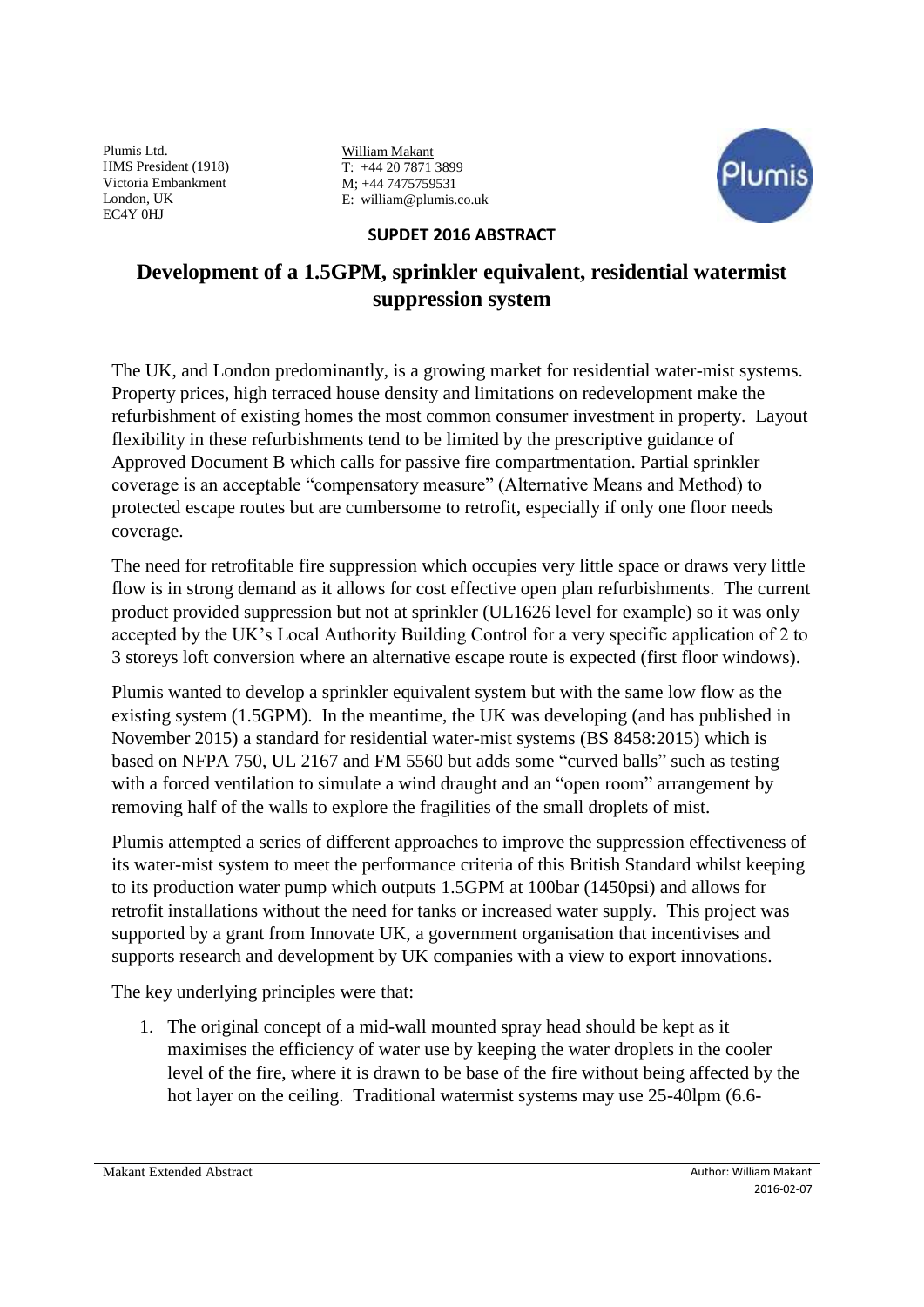William Makant T: +44 20 7871 3899 M; +44 7475759531 E: william@plumis.co.uk



## **SUPDET 2016 ABSTRACT**

# **Development of a 1.5GPM, sprinkler equivalent, residential watermist suppression system**

The UK, and London predominantly, is a growing market for residential water-mist systems. Property prices, high terraced house density and limitations on redevelopment make the refurbishment of existing homes the most common consumer investment in property. Layout flexibility in these refurbishments tend to be limited by the prescriptive guidance of Approved Document B which calls for passive fire compartmentation. Partial sprinkler coverage is an acceptable "compensatory measure" (Alternative Means and Method) to protected escape routes but are cumbersome to retrofit, especially if only one floor needs coverage.

The need for retrofitable fire suppression which occupies very little space or draws very little flow is in strong demand as it allows for cost effective open plan refurbishments. The current product provided suppression but not at sprinkler (UL1626 level for example) so it was only accepted by the UK's Local Authority Building Control for a very specific application of 2 to 3 storeys loft conversion where an alternative escape route is expected (first floor windows).

Plumis wanted to develop a sprinkler equivalent system but with the same low flow as the existing system (1.5GPM). In the meantime, the UK was developing (and has published in November 2015) a standard for residential water-mist systems (BS 8458:2015) which is based on NFPA 750, UL 2167 and FM 5560 but adds some "curved balls" such as testing with a forced ventilation to simulate a wind draught and an "open room" arrangement by removing half of the walls to explore the fragilities of the small droplets of mist.

Plumis attempted a series of different approaches to improve the suppression effectiveness of its water-mist system to meet the performance criteria of this British Standard whilst keeping to its production water pump which outputs 1.5GPM at 100bar (1450psi) and allows for retrofit installations without the need for tanks or increased water supply. This project was supported by a grant from Innovate UK, a government organisation that incentivises and supports research and development by UK companies with a view to export innovations.

The key underlying principles were that:

1. The original concept of a mid-wall mounted spray head should be kept as it maximises the efficiency of water use by keeping the water droplets in the cooler level of the fire, where it is drawn to be base of the fire without being affected by the hot layer on the ceiling. Traditional watermist systems may use 25-40lpm (6.6-

Makant Extended Abstract Author: William Makant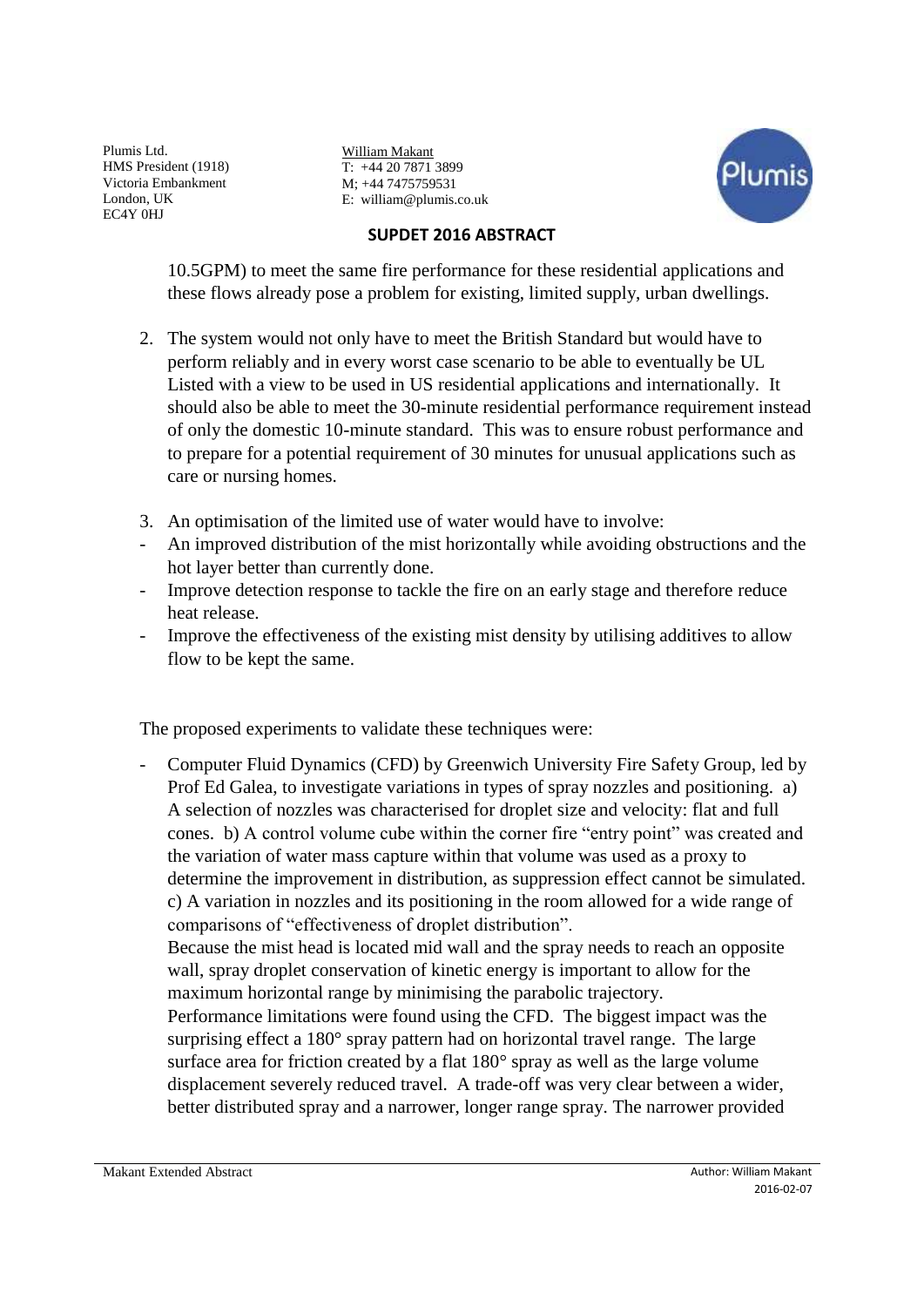William Makant T: +44 20 7871 3899 M; +44 7475759531 E: william@plumis.co.uk



### **SUPDET 2016 ABSTRACT**

10.5GPM) to meet the same fire performance for these residential applications and these flows already pose a problem for existing, limited supply, urban dwellings.

- 2. The system would not only have to meet the British Standard but would have to perform reliably and in every worst case scenario to be able to eventually be UL Listed with a view to be used in US residential applications and internationally. It should also be able to meet the 30-minute residential performance requirement instead of only the domestic 10-minute standard. This was to ensure robust performance and to prepare for a potential requirement of 30 minutes for unusual applications such as care or nursing homes.
- 3. An optimisation of the limited use of water would have to involve:
- An improved distribution of the mist horizontally while avoiding obstructions and the hot layer better than currently done.
- Improve detection response to tackle the fire on an early stage and therefore reduce heat release.
- Improve the effectiveness of the existing mist density by utilising additives to allow flow to be kept the same.

The proposed experiments to validate these techniques were:

- Computer Fluid Dynamics (CFD) by Greenwich University Fire Safety Group, led by Prof Ed Galea, to investigate variations in types of spray nozzles and positioning. a) A selection of nozzles was characterised for droplet size and velocity: flat and full cones. b) A control volume cube within the corner fire "entry point" was created and the variation of water mass capture within that volume was used as a proxy to determine the improvement in distribution, as suppression effect cannot be simulated. c) A variation in nozzles and its positioning in the room allowed for a wide range of comparisons of "effectiveness of droplet distribution".

Because the mist head is located mid wall and the spray needs to reach an opposite wall, spray droplet conservation of kinetic energy is important to allow for the maximum horizontal range by minimising the parabolic trajectory.

Performance limitations were found using the CFD. The biggest impact was the surprising effect a 180° spray pattern had on horizontal travel range. The large surface area for friction created by a flat 180° spray as well as the large volume displacement severely reduced travel. A trade-off was very clear between a wider, better distributed spray and a narrower, longer range spray. The narrower provided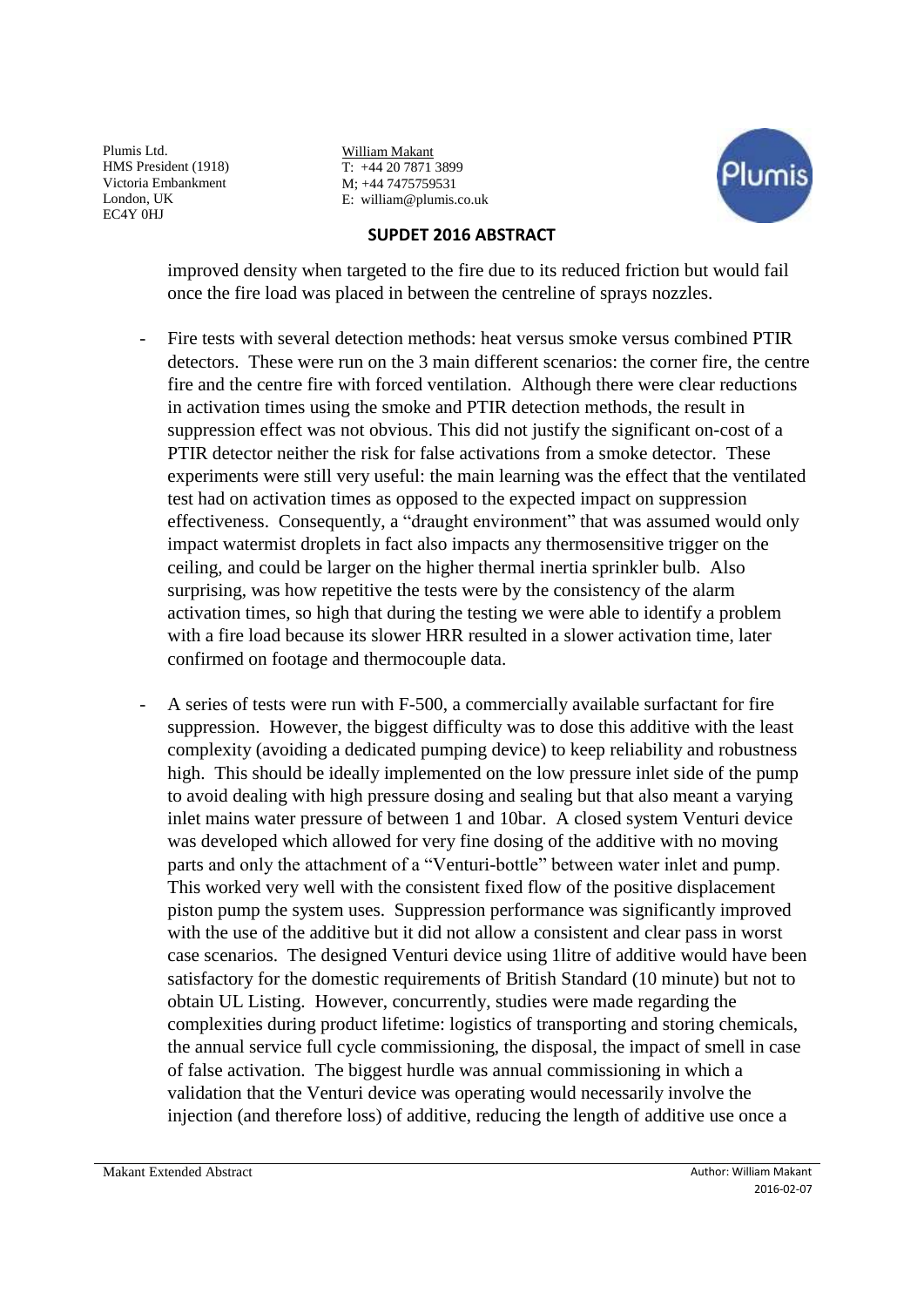William Makant T: +44 20 7871 3899 M; +44 7475759531 E: william@plumis.co.uk



#### **SUPDET 2016 ABSTRACT**

improved density when targeted to the fire due to its reduced friction but would fail once the fire load was placed in between the centreline of sprays nozzles.

- Fire tests with several detection methods: heat versus smoke versus combined PTIR detectors. These were run on the 3 main different scenarios: the corner fire, the centre fire and the centre fire with forced ventilation. Although there were clear reductions in activation times using the smoke and PTIR detection methods, the result in suppression effect was not obvious. This did not justify the significant on-cost of a PTIR detector neither the risk for false activations from a smoke detector. These experiments were still very useful: the main learning was the effect that the ventilated test had on activation times as opposed to the expected impact on suppression effectiveness. Consequently, a "draught environment" that was assumed would only impact watermist droplets in fact also impacts any thermosensitive trigger on the ceiling, and could be larger on the higher thermal inertia sprinkler bulb. Also surprising, was how repetitive the tests were by the consistency of the alarm activation times, so high that during the testing we were able to identify a problem with a fire load because its slower HRR resulted in a slower activation time, later confirmed on footage and thermocouple data.
- A series of tests were run with F-500, a commercially available surfactant for fire suppression. However, the biggest difficulty was to dose this additive with the least complexity (avoiding a dedicated pumping device) to keep reliability and robustness high. This should be ideally implemented on the low pressure inlet side of the pump to avoid dealing with high pressure dosing and sealing but that also meant a varying inlet mains water pressure of between 1 and 10bar. A closed system Venturi device was developed which allowed for very fine dosing of the additive with no moving parts and only the attachment of a "Venturi-bottle" between water inlet and pump. This worked very well with the consistent fixed flow of the positive displacement piston pump the system uses. Suppression performance was significantly improved with the use of the additive but it did not allow a consistent and clear pass in worst case scenarios. The designed Venturi device using 1litre of additive would have been satisfactory for the domestic requirements of British Standard (10 minute) but not to obtain UL Listing. However, concurrently, studies were made regarding the complexities during product lifetime: logistics of transporting and storing chemicals, the annual service full cycle commissioning, the disposal, the impact of smell in case of false activation. The biggest hurdle was annual commissioning in which a validation that the Venturi device was operating would necessarily involve the injection (and therefore loss) of additive, reducing the length of additive use once a